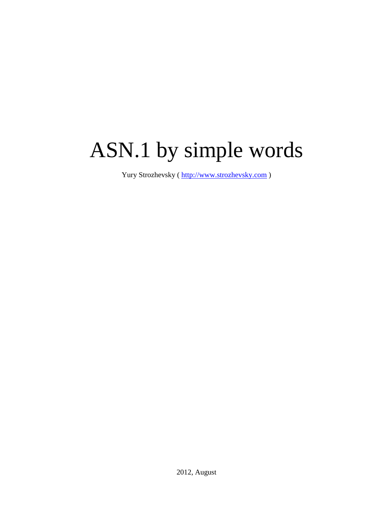# ASN.1 by simple words

Yury Strozhevsky ( [http://www.strozhevsky.com](http://www.strozhevsky.com/) )

2012, August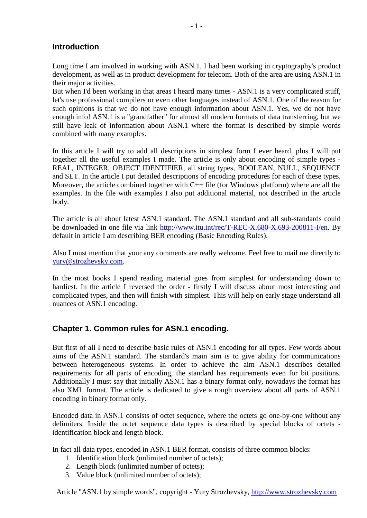# **Introduction**

Long time I am involved in working with ASN.1. I had been working in cryptography's product development, as well as in product development for telecom. Both of the area are using ASN.1 in their major activities.

But when I'd been working in that areas I heard many times - ASN.1 is a very complicated stuff, let's use professional compilers or even other languages instead of ASN.1. One of the reason for such opinions is that we do not have enough information about ASN.1. Yes, we do not have enough info! ASN.1 is a "grandfather" for almost all modern formats of data transferring, but we still have leak of information about ASN.1 where the format is described by simple words combined with many examples.

In this article I will try to add all descriptions in simplest form I ever heard, plus I will put together all the useful examples I made. The article is only about encoding of simple types - REAL, INTEGER, OBJECT IDENTIFIER, all string types, BOOLEAN, NULL, SEQUENCE and SET. In the article I put detailed descriptions of encoding procedures for each of these types. Moreover, the article combined together with  $C_{++}$  file (for Windows platform) where are all the examples. In the file with examples I also put additional material, not described in the article body.

The article is all about latest ASN.1 standard. The ASN.1 standard and all sub-standards could be downloaded in one file via link [http://www.itu.int/rec/T-REC-X.680-X.693-200811-I/en.](http://www.itu.int/rec/T-REC-X.680-X.693-200811-I/en) By default in article I am describing BER encoding (Basic Encoding Rules).

Also I must mention that your any comments are really welcome. Feel free to mail me directly to [yury@strozhevsky.com.](mailto:myury@strozhevsky.com)

In the most books I spend reading material goes from simplest for understanding down to hardiest. In the article I reversed the order - firstly I will discuss about most interesting and complicated types, and then will finish with simplest. This will help on early stage understand all nuances of ASN.1 encoding.

## **Chapter 1. Common rules for ASN.1 encoding.**

But first of all I need to describe basic rules of ASN.1 encoding for all types. Few words about aims of the ASN.1 standard. The standard's main aim is to give ability for communications between heterogeneous systems. In order to achieve the aim ASN.1 describes detailed requirements for all parts of encoding, the standard has requirements even for bit positions. Additionally I must say that initially ASN.1 has a binary format only, nowadays the format has also XML format. The article is dedicated to give a rough overview about all parts of ASN.1 encoding in binary format only.

Encoded data in ASN.1 consists of octet sequence, where the octets go one-by-one without any delimiters. Inside the octet sequence data types is described by special blocks of octets identification block and length block.

In fact all data types, encoded in ASN.1 BER format, consists of three common blocks:

- 1. Identification block (unlimited number of octets);
- 2. Length block (unlimited number of octets);
- 3. Value block (unlimited number of octets);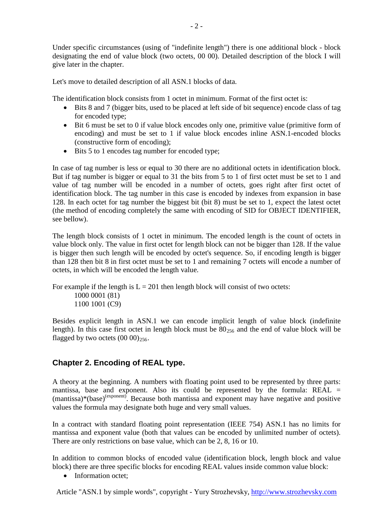Under specific circumstances (using of "indefinite length") there is one additional block - block designating the end of value block (two octets, 00 00). Detailed description of the block I will give later in the chapter.

Let's move to detailed description of all ASN.1 blocks of data.

The identification block consists from 1 octet in minimum. Format of the first octet is:

- Bits 8 and 7 (bigger bits, used to be placed at left side of bit sequence) encode class of tag for encoded type;
- Bit 6 must be set to 0 if value block encodes only one, primitive value (primitive form of encoding) and must be set to 1 if value block encodes inline ASN.1-encoded blocks (constructive form of encoding);
- Bits 5 to 1 encodes tag number for encoded type;

In case of tag number is less or equal to 30 there are no additional octets in identification block. But if tag number is bigger or equal to 31 the bits from 5 to 1 of first octet must be set to 1 and value of tag number will be encoded in a number of octets, goes right after first octet of identification block. The tag number in this case is encoded by indexes from expansion in base 128. In each octet for tag number the biggest bit (bit 8) must be set to 1, expect the latest octet (the method of encoding completely the same with encoding of SID for OBJECT IDENTIFIER, see bellow).

The length block consists of 1 octet in minimum. The encoded length is the count of octets in value block only. The value in first octet for length block can not be bigger than 128. If the value is bigger then such length will be encoded by octet's sequence. So, if encoding length is bigger than 128 then bit 8 in first octet must be set to 1 and remaining 7 octets will encode a number of octets, in which will be encoded the length value.

For example if the length is  $L = 201$  then length block will consist of two octets: 1000 0001 (81) 1100 1001 (C9)

Besides explicit length in ASN.1 we can encode implicit length of value block (indefinite length). In this case first octet in length block must be  $80_{256}$  and the end of value block will be flagged by two octets  $(00 00)_{256}$ .

# **Chapter 2. Encoding of REAL type.**

A theory at the beginning. A numbers with floating point used to be represented by three parts: mantissa, base and exponent. Also its could be represented by the formula:  $REAL =$ (mantissa)\*(base)<sup>(exponent)</sup>. Because both mantissa and exponent may have negative and positive values the formula may designate both huge and very small values.

In a contract with standard floating point representation (IEEE 754) ASN.1 has no limits for mantissa and exponent value (both that values can be encoded by unlimited number of octets). There are only restrictions on base value, which can be 2, 8, 16 or 10.

In addition to common blocks of encoded value (identification block, length block and value block) there are three specific blocks for encoding REAL values inside common value block:

• Information octet;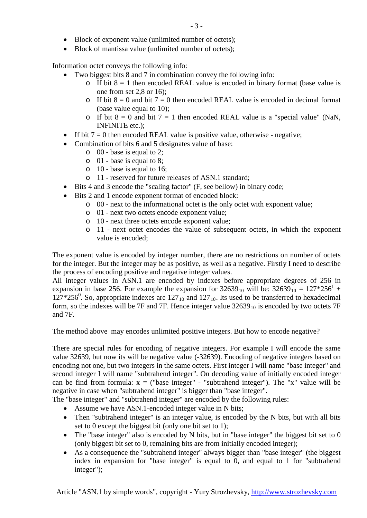- Block of exponent value (unlimited number of octets);
- Block of mantissa value (unlimited number of octets);

Information octet conveys the following info:

- Two biggest bits 8 and 7 in combination convey the following info:
	- o If bit  $8 = 1$  then encoded REAL value is encoded in binary format (base value is one from set 2,8 or 16);
	- o If bit  $8 = 0$  and bit  $7 = 0$  then encoded REAL value is encoded in decimal format (base value equal to 10);
	- o If bit  $8 = 0$  and bit  $7 = 1$  then encoded REAL value is a "special value" (NaN, INFINITE etc.);
- If bit  $7 = 0$  then encoded REAL value is positive value, otherwise negative;
- Combination of bits 6 and 5 designates value of base:
	- o 00 base is equal to 2;
	- o 01 base is equal to 8;
	- o 10 base is equal to 16;
	- o 11 reserved for future releases of ASN.1 standard;
- Bits 4 and 3 encode the "scaling factor" (F, see bellow) in binary code;
- Bits 2 and 1 encode exponent format of encoded block:
	- o 00 next to the informational octet is the only octet with exponent value;
	- o 01 next two octets encode exponent value;
	- o 10 next three octets encode exponent value;
	- o 11 next octet encodes the value of subsequent octets, in which the exponent value is encoded;

The exponent value is encoded by integer number, there are no restrictions on number of octets for the integer. But the integer may be as positive, as well as a negative. Firstly I need to describe the process of encoding positive and negative integer values.

All integer values in ASN.1 are encoded by indexes before appropriate degrees of 256 in expansion in base 256. For example the expansion for  $32639_{10}$  will be:  $32639_{10} = 127*256^{1} +$  $127*256^0$ . So, appropriate indexes are  $127_{10}$  and  $127_{10}$ . Its used to be transferred to hexadecimal form, so the indexes will be 7F and 7F. Hence integer value  $32639_{10}$  is encoded by two octets 7F and 7F.

The method above may encodes unlimited positive integers. But how to encode negative?

There are special rules for encoding of negative integers. For example I will encode the same value 32639, but now its will be negative value (-32639). Encoding of negative integers based on encoding not one, but two integers in the same octets. First integer I will name "base integer" and second integer I will name "subtrahend integer". On decoding value of initially encoded integer can be find from formula:  $x =$  ("base integer" - "subtrahend integer"). The "x" value will be negative in case when "subtrahend integer" is bigger than "base integer".

The "base integer" and "subtrahend integer" are encoded by the following rules:

- Assume we have ASN.1-encoded integer value in N bits;
- Then "subtrahend integer" is an integer value, is encoded by the N bits, but with all bits set to 0 except the biggest bit (only one bit set to 1);
- The "base integer" also is encoded by N bits, but in "base integer" the biggest bit set to 0 (only biggest bit set to 0, remaining bits are from initially encoded integer);
- As a consequence the "subtrahend integer" always bigger than "base integer" (the biggest index in expansion for "base integer" is equal to 0, and equal to 1 for "subtrahend integer");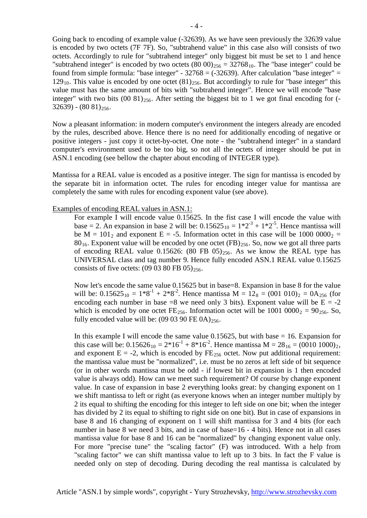Going back to encoding of example value (-32639). As we have seen previously the 32639 value is encoded by two octets (7F 7F). So, "subtrahend value" in this case also will consists of two octets. Accordingly to rule for "subtrahend integer" only biggest bit must be set to 1 and hence "subtrahend integer" is encoded by two octets  $(80\ 00)_{256} = 32768_{10}$ . The "base integer" could be found from simple formula: "base integer" -  $32768 = (-32639)$ . After calculation "base integer" =  $129_{10}$ . This value is encoded by one octet  $(81)_{256}$ . But accordingly to rule for "base integer" this value must has the same amount of bits with "subtrahend integer". Hence we will encode "base integer" with two bits  $(00 81)_{256}$ . After setting the biggest bit to 1 we got final encoding for  $( (32639) - (8081)_{256}.$ 

Now a pleasant information: in modern computer's environment the integers already are encoded by the rules, described above. Hence there is no need for additionally encoding of negative or positive integers - just copy it octet-by-octet. One note - the "subtrahend integer" in a standard computer's environment used to be too big, so not all the octets of integer should be put in ASN.1 encoding (see bellow the chapter about encoding of INTEGER type).

Mantissa for a REAL value is encoded as a positive integer. The sign for mantissa is encoded by the separate bit in information octet. The rules for encoding integer value for mantissa are completely the same with rules for encoding exponent value (see above).

#### Examples of encoding REAL values in ASN.1:

For example I will encode value 0.15625. In the fist case I will encode the value with base = 2. An expansion in base 2 will be:  $0.15625_{10} = 1*2^3 + 1*2^5$ . Hence mantissa will be M =  $101<sub>2</sub>$  and exponent E = -5. Information octet in this case will be 1000 0000<sub>2</sub> =  $80_{16}$ . Exponent value will be encoded by one octet (FB)<sub>256</sub>. So, now we got all three parts of encoding REAL value 0.15626: (80 FB 05) $_{256}$ . As we know the REAL type has UNIVERSAL class and tag number 9. Hence fully encoded ASN.1 REAL value 0.15625 consists of five octets:  $(09 03 80 \text{ FB } 05)_{256}$ .

Now let's encode the same value 0.15625 but in base=8. Expansion in base 8 for the value will be:  $0.15625_{10} = 1*8^{-1} + 2*8^{-2}$ . Hence mantissa M =  $12_8 = (001 \ 010)_2 = 0A_{256}$  (for encoding each number in base  $=8$  we need only 3 bits). Exponent value will be  $E = -2$ which is encoded by one octet FE<sub>256</sub>. Information octet will be  $1001 0000<sub>2</sub> = 90<sub>256</sub>$ . So, fully encoded value will be:  $(09 03 90 \text{ FE } 0\text{A})_{256}$ .

In this example I will encode the same value 0.15625, but with base  $= 16$ . Expansion for this case will be:  $0.15626_{10} = 2*16^{-1} + 8*16^{-2}$ . Hence mantissa M =  $28_{16} = (0010\ 1000)_2$ , and exponent  $E = -2$ , which is encoded by  $FE_{256}$  octet. Now put additional requirement: the mantissa value must be "normalized", i.e. must be no zeros at left side of bit sequence (or in other words mantissa must be odd - if lowest bit in expansion is 1 then encoded value is always odd). How can we meet such requirement? Of course by change exponent value. In case of expansion in base 2 everything looks great: by changing exponent on 1 we shift mantissa to left or right (as everyone knows when an integer number multiply by 2 its equal to shifting the encoding for this integer to left side on one bit; when the integer has divided by 2 its equal to shifting to right side on one bit). But in case of expansions in base 8 and 16 changing of exponent on 1 will shift mantissa for 3 and 4 bits (for each number in base 8 we need 3 bits, and in case of base=16 - 4 bits). Hence not in all cases mantissa value for base 8 and 16 can be "normalized" by changing exponent value only. For more "precise tune" the "scaling factor" (F) was introduced. With a help from "scaling factor" we can shift mantissa value to left up to 3 bits. In fact the F value is needed only on step of decoding. During decoding the real mantissa is calculated by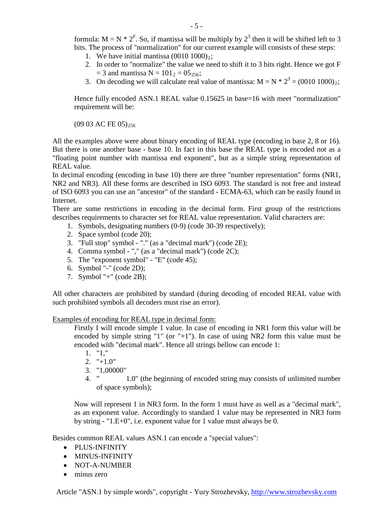- 1. We have initial mantissa  $(0010 1000)_{2}$ ;
- 2. In order to "normalize" the value we need to shift it to 3 bits right. Hence we got F  $= 3$  and mantissa N = 101<sub>2</sub> = 05<sub>256</sub>;
- 3. On decoding we will calculate real value of mantissa:  $M = N * 2^3 = (0010 \ 1000)_2$ ;

Hence fully encoded ASN.1 REAL value 0.15625 in base=16 with meet "normalization" requirement will be:

(09 03 AC FE 05)<sub>256</sub>

All the examples above were about binary encoding of REAL type (encoding in base 2, 8 or 16). But there is one another base - base 10. In fact in this base the REAL type is encoded not as a "floating point number with mantissa end exponent", but as a simple string representation of REAL value.

In decimal encoding (encoding in base 10) there are three "number representation" forms (NR1, NR2 and NR3). All these forms are described in ISO 6093. The standard is not free and instead of ISO 6093 you can use an "ancestor" of the standard - ECMA-63, which can be easily found in Internet.

There are some restrictions in encoding in the decimal form. First group of the restrictions describes requirements to character set for REAL value representation. Valid characters are:

- 1. Symbols, designating numbers (0-9) (code 30-39 respectively);
- 2. Space symbol (code 20);
- 3. "Full stop" symbol "." (as a "decimal mark") (code 2E);
- 4. Comma symbol "," (as a "decimal mark") (code 2C);
- 5. The "exponent symbol" "E" (code 45);
- 6. Symbol "-" (code 2D);
- 7. Symbol "+" (code 2B);

All other characters are prohibited by standard (during decoding of encoded REAL value with such prohibited symbols all decoders must rise an error).

Examples of encoding for REAL type in decimal form:

Firstly I will encode simple 1 value. In case of encoding in NR1 form this value will be encoded by simple string "1" (or "+1"). In case of using NR2 form this value must be encoded with "decimal mark". Hence all strings bellow can encode 1:

- 1. "1,"
- $2.$  " $+1.0$ "
- 3. "1,00000"
- 4. " 1.0" (the beginning of encoded string may consists of unlimited number of space symbols);

Now will represent 1 in NR3 form. In the form 1 must have as well as a "decimal mark", as an exponent value. Accordingly to standard 1 value may be represented in NR3 form by string - "1.E+0", i.e. exponent value for 1 value must always be 0.

Besides common REAL values ASN.1 can encode a "special values":

- PLUS-INFINITY
- MINUS-INFINITY
- NOT-A-NUMBER
- minus zero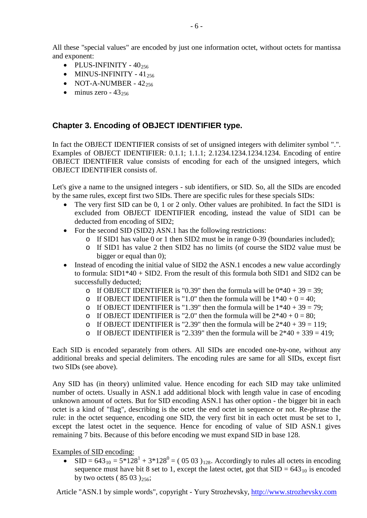All these "special values" are encoded by just one information octet, without octets for mantissa and exponent:

- $\bullet$  PLUS-INFINITY  $40_{256}$
- MINUS-INFINITY  $41_{256}$
- NOT-A-NUMBER  $42_{256}$
- $\bullet$  minus zero 43<sub>256</sub>

# **Chapter 3. Encoding of OBJECT IDENTIFIER type.**

In fact the OBJECT IDENTIFIER consists of set of unsigned integers with delimiter symbol ".". Examples of OBJECT IDENTIFIER: 0.1.1; 1.1.1; 2.1234.1234.1234.1234. Encoding of entire OBJECT IDENTIFIER value consists of encoding for each of the unsigned integers, which OBJECT IDENTIFIER consists of.

Let's give a name to the unsigned integers - sub identifiers, or SID. So, all the SIDs are encoded by the same rules, except first two SIDs. There are specific rules for these specials SIDs:

- The very first SID can be 0, 1 or 2 only. Other values are prohibited. In fact the SID1 is excluded from OBJECT IDENTIFIER encoding, instead the value of SID1 can be deducted from encoding of SID2;
- For the second SID (SID2) ASN.1 has the following restrictions:
	- o If SID1 has value 0 or 1 then SID2 must be in range 0-39 (boundaries included);
	- o If SID1 has value 2 then SID2 has no limits (of course the SID2 value must be bigger or equal than 0);
- Instead of encoding the initial value of SID2 the ASN.1 encodes a new value accordingly to formula: SID1\*40 + SID2. From the result of this formula both SID1 and SID2 can be successfully deducted;
	- o If OBJECT IDENTIFIER is "0.39" then the formula will be  $0*40 + 39 = 39$ ;
	- o If OBJECT IDENTIFIER is "1.0" then the formula will be  $1*40 + 0 = 40$ ;
	- o If OBJECT IDENTIFIER is "1.39" then the formula will be  $1*40 + 39 = 79$ ;
	- o If OBJECT IDENTIFIER is "2.0" then the formula will be  $2*40 + 0 = 80$ ;
	- o If OBJECT IDENTIFIER is "2.39" then the formula will be  $2*40 + 39 = 119$ ;
	- o If OBJECT IDENTIFIER is "2.339" then the formula will be  $2*40 + 339 = 419$ ;

Each SID is encoded separately from others. All SIDs are encoded one-by-one, without any additional breaks and special delimiters. The encoding rules are same for all SIDs, except fisrt two SIDs (see above).

Any SID has (in theory) unlimited value. Hence encoding for each SID may take unlimited number of octets. Usually in ASN.1 add additional block with length value in case of encoding unknown amount of octets. But for SID encoding ASN.1 has other option - the bigger bit in each octet is a kind of "flag", describing is the octet the end octet in sequence or not. Re-phrase the rule: in the octet sequence, encoding one SID, the very first bit in each octet must be set to 1, except the latest octet in the sequence. Hence for encoding of value of SID ASN.1 gives remaining 7 bits. Because of this before encoding we must expand SID in base 128.

#### Examples of SID encoding:

• SID =  $643_{10} = 5*128^1 + 3*128^0 = (05\ 03)_{128}$ . Accordingly to rules all octets in encoding sequence must have bit 8 set to 1, except the latest octet, got that  $SID = 643<sub>10</sub>$  is encoded by two octets ( $8503$ )<sub>256</sub>;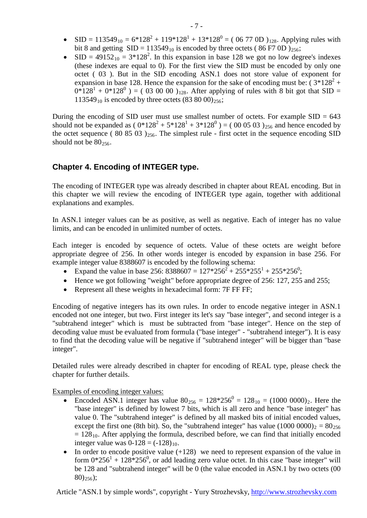- SID =  $113549_{10} = 6*128^2 + 119*128^1 + 13*128^0 = (0677 \text{ OD})_{128}$ . Applying rules with bit 8 and getting  $SID = 113549_{10}$  is encoded by three octets (86 F7 0D)<sub>256</sub>;
- SID =  $49152_{10} = 3*128^2$ . In this expansion in base 128 we got no low degree's indexes (these indexes are equal to 0). For the first view the SID must be encoded by only one octet ( 03 ). But in the SID encoding ASN.1 does not store value of exponent for expansion in base 128. Hence the expansion for the sake of encoding must be:  $(3*128^2 +$  $0*128^{1} + 0*128^{0}$  ) = ( 03 00 00 )<sub>128</sub>. After applying of rules with 8 bit got that SID = 113549<sub>10</sub> is encoded by three octets  $(83 80 00)_{256}$ ;

During the encoding of SID user must use smallest number of octets. For example  $SID = 643$ should not be expanded as ( $0*128^2 + 5*128^1 + 3*128^0$ ) = (00 05 03)<sub>256</sub> and hence encoded by the octet sequence ( 80 85 03 ) $_{256}$ . The simplest rule - first octet in the sequence encoding SID should not be  $80_{256}$ .

# **Chapter 4. Encoding of INTEGER type.**

The encoding of INTEGER type was already described in chapter about REAL encoding. But in this chapter we will review the encoding of INTEGER type again, together with additional explanations and examples.

In ASN.1 integer values can be as positive, as well as negative. Each of integer has no value limits, and can be encoded in unlimited number of octets.

Each integer is encoded by sequence of octets. Value of these octets are weight before appropriate degree of 256. In other words integer is encoded by expansion in base 256. For example integer value 8388607 is encoded by the following schema:

- Expand the value in base 256:  $8388607 = 127 \times 256^2 + 255 \times 255^1 + 255 \times 256^0$ ;
- Hence we got following "weight" before appropriate degree of 256: 127, 255 and 255;
- Represent all these weights in hexadecimal form: 7F FF FF;

Encoding of negative integers has its own rules. In order to encode negative integer in ASN.1 encoded not one integer, but two. First integer its let's say "base integer", and second integer is a "subtrahend integer" which is must be subtracted from "base integer". Hence on the step of decoding value must be evaluated from formula ("base integer" - "subtrahend integer"). It is easy to find that the decoding value will be negative if "subtrahend integer" will be bigger than "base integer".

Detailed rules were already described in chapter for encoding of REAL type, please check the chapter for further details.

Examples of encoding integer values:

- Encoded ASN.1 integer has value  $80_{256} = 128*256^0 = 128_{10} = (1000\ 0000)_2$ . Here the "base integer" is defined by lowest 7 bits, which is all zero and hence "base integer" has value 0. The "subtrahend integer" is defined by all masked bits of initial encoded values, except the first one (8th bit). So, the "subtrahend integer" has value  $(1000 0000)_2 = 80_{256}$  $= 128<sub>10</sub>$ . After applying the formula, described before, we can find that initially encoded integer value was  $0-128 = (-128)_{10}$ .
- In order to encode positive value  $(+128)$  we need to represent expansion of the value in form  $0*256^1 + 128*256^0$ , or add leading zero value octet. In this case "base integer" will be 128 and "subtrahend integer" will be 0 (the value encoded in ASN.1 by two octets (00  $80)_{256}$ ;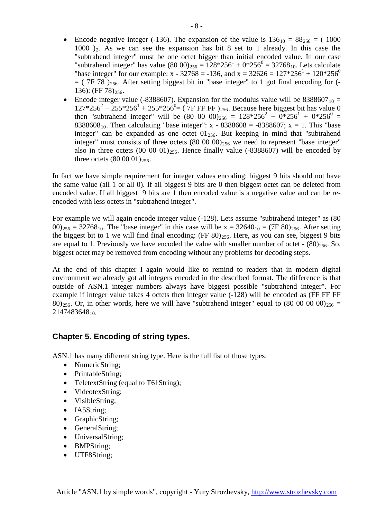- Encode negative integer (-136). The expansion of the value is  $136_{10} = 88_{256} = (1000$ 1000  $)_2$ . As we can see the expansion has bit 8 set to 1 already. In this case the "subtrahend integer" must be one octet bigger than initial encoded value. In our case "subtrahend integer" has value (80 00)<sub>256</sub> =  $128*256^1 + 0*256^0 = 32768_{10}$ . Lets calculate "base integer" for our example:  $x - 32768 = -136$ , and  $x = 32626 = 127*256<sup>1</sup> + 120*256<sup>0</sup>$  $=$  ( 7F 78 )<sub>256</sub>. After setting biggest bit in "base integer" to 1 got final encoding for (-136): (FF 78) $256$ .
- Encode integer value (-8388607). Expansion for the modulus value will be  $8388607_{10} =$  $127*256^2 + 255*256^1 + 255*256^0 = (7F F F F)_{256}$ . Because here biggest bit has value 0 then "subtrahend integer" will be  $(80\ 00\ 00)_{256} = 128*256^2 + 0*256^1 + 0*256^0 =$ 8388608<sub>10</sub>. Then calculating "base integer": x - 8388608 = -8388607; x = 1. This "base integer" can be expanded as one octet  $01_{256}$ . But keeping in mind that "subtrahend" integer" must consists of three octets  $(80\ 00\ 00)_{256}$  we need to represent "base integer" also in three octets  $(00\ 00\ 01)_{256}$ . Hence finally value  $(-8388607)$  will be encoded by three octets  $(80\ 00\ 01)_{256}$ .

In fact we have simple requirement for integer values encoding: biggest 9 bits should not have the same value (all 1 or all 0). If all biggest 9 bits are 0 then biggest octet can be deleted from encoded value. If all biggest 9 bits are 1 then encoded value is a negative value and can be reencoded with less octets in "subtrahend integer".

For example we will again encode integer value (-128). Lets assume "subtrahend integer" as (80  $(00)_{256} = 32768_{10}$ . The "base integer" in this case will be x = 32640<sub>10</sub> = (7F 80)<sub>256</sub>. After setting the biggest bit to 1 we will find final encoding:  $(FF 80)_{256}$ . Here, as you can see, biggest 9 bits are equal to 1. Previously we have encoded the value with smaller number of octet -  $(80)_{256}$ . So, biggest octet may be removed from encoding without any problems for decoding steps.

At the end of this chapter I again would like to remind to readers that in modern digital environment we already got all integers encoded in the described format. The difference is that outside of ASN.1 integer numbers always have biggest possible "subtrahend integer". For example if integer value takes 4 octets then integer value (-128) will be encoded as (FF FF FF 80)<sub>256</sub>. Or, in other words, here we will have "subtrahend integer" equal to  $(80\ 00\ 00\ 00)_{256}$  = 214748364810

## **Chapter 5. Encoding of string types.**

ASN.1 has many different string type. Here is the full list of those types:

- NumericString;
- PrintableString;
- TeletextString (equal to T61String);
- VideotexString;
- VisibleString:
- IA5String;
- GraphicString;
- GeneralString;
- UniversalString;
- BMPString;
- UTF8String;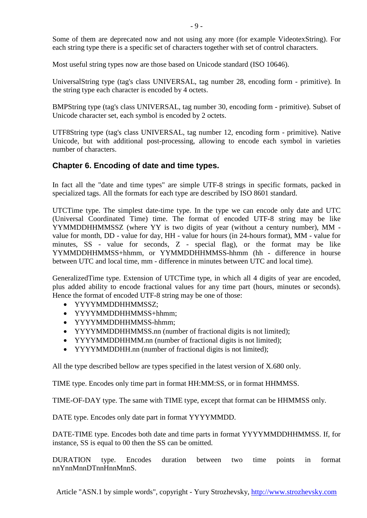Some of them are deprecated now and not using any more (for example VideotexString). For each string type there is a specific set of characters together with set of control characters.

Most useful string types now are those based on Unicode standard (ISO 10646).

UniversalString type (tag's class UNIVERSAL, tag number 28, encoding form - primitive). In the string type each character is encoded by 4 octets.

BMPString type (tag's class UNIVERSAL, tag number 30, encoding form - primitive). Subset of Unicode character set, each symbol is encoded by 2 octets.

UTF8String type (tag's class UNIVERSAL, tag number 12, encoding form - primitive). Native Unicode, but with additional post-processing, allowing to encode each symbol in varieties number of characters.

# **Chapter 6. Encoding of date and time types.**

In fact all the "date and time types" are simple UTF-8 strings in specific formats, packed in specialized tags. All the formats for each type are described by ISO 8601 standard.

UTCTime type. The simplest date-time type. In the type we can encode only date and UTC (Universal Coordinated Time) time. The format of encoded UTF-8 string may be like YYMMDDHHMMSSZ (where YY is two digits of year (without a century number), MM value for month, DD - value for day, HH - value for hours (in 24-hours format), MM - value for minutes, SS - value for seconds, Z - special flag), or the format may be like YYMMDDHHMMSS+hhmm, or YYMMDDHHMMSS-hhmm (hh - difference in hourse between UTC and local time, mm - difference in minutes between UTC and local time).

GeneralizedTime type. Extension of UTCTime type, in which all 4 digits of year are encoded, plus added ability to encode fractional values for any time part (hours, minutes or seconds). Hence the format of encoded UTF-8 string may be one of those:

- YYYYMMDDHHMMSSZ;
- YYYYMMDDHHMMSS+hhmm;
- YYYYMMDDHHMMSS-hhmm;
- YYYYMMDDHHMMSS.nn (number of fractional digits is not limited);
- YYYYMMDDHHMM.nn (number of fractional digits is not limited);
- YYYYMMDDHH.nn (number of fractional digits is not limited);

All the type described bellow are types specified in the latest version of X.680 only.

TIME type. Encodes only time part in format HH:MM:SS, or in format HHMMSS.

TIME-OF-DAY type. The same with TIME type, except that format can be HHMMSS only.

DATE type. Encodes only date part in format YYYYMMDD.

DATE-TIME type. Encodes both date and time parts in format YYYYMMDDHHMMSS. If, for instance, SS is equal to 00 then the SS can be omitted.

DURATION type. Encodes duration between two time points in format nnYnnMnnDTnnHnnMnnS.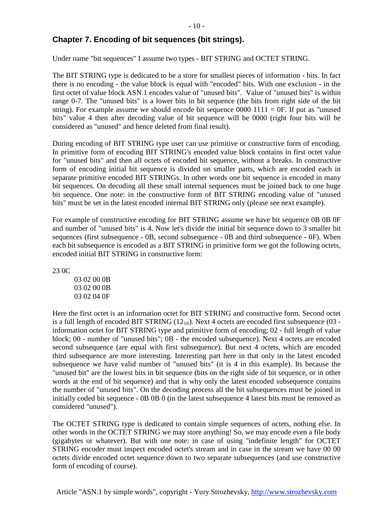# **Chapter 7. Encoding of bit sequences (bit strings).**

Under name "bit sequences" I assume two types - BIT STRING and OCTET STRING.

The BIT STRING type is dedicated to be a store for smallest pieces of information - bits. In fact there is no encoding - the value block is equal with "encoded" bits. With one exclusion - in the first octet of value block ASN.1 encodes value of "unused bits". Value of "unused bits" is within range 0-7. The "unused bits" is a lower bits in bit sequence (the bits from right side of the bit string). For example assume we should encode bit sequence  $0000 1111 = 0F$ . If put as "unused bits" value 4 then after decoding value of bit sequence will be 0000 (right four bits will be considered as "unused" and hence deleted from final result).

During encoding of BIT STRING type user can use primitive or constructive form of encoding. In primitive form of encoding BIT STRING's encoded value block contains in first octet value for "unused bits" and then all octets of encoded bit sequence, without a breaks. In constructive form of encoding initial bit sequence is divided on smaller parts, which are encoded each in separate primitive encoded BIT STRINGs. In other words one bit sequence is encoded in many bit sequences. On decoding all these small internal sequences must be joined back to one huge bit sequence. One note: in the constructive form of BIT STRING encoding value of "unused bits" must be set in the latest encoded internal BIT STRING only (please see next example).

For example of constructive encoding for BIT STRING assume we have bit sequence 0B 0B 0F and number of "unused bits" is 4. Now let's divide the initial bit sequence down to 3 smaller bit sequences (first subsequence - 0B, second subsequence - 0B and third subsequence - 0F). When each bit subsequence is encoded as a BIT STRING in primitive form we got the following octets, encoded initial BIT STRING in constructive form:

23 0C

03 02 00 0B 03 02 00 0B 03 02 04 0F

Here the first octet is an information octet for BIT STRING and constructive form. Second octet is a full length of encoded BIT STRING  $(12_{10})$ . Next 4 octets are encoded first subsequence  $(03$ information octet for BIT STRING type and primitive form of encoding; 02 - full length of value block; 00 - number of "unused bits"; 0B - the encoded subsequence). Next 4 octets are encoded second subsequence (are equal with first subsequence). But next 4 octets, which are encoded third subsequence are more interesting. Interesting part here in that only in the latest encoded subsequence we have valid number of "unused bits" (it is 4 in this example). Its because the "unused bit" are the lowest bits in bit sequence (bits on the right side of bit sequence, or in other words at the end of bit sequence) and that is why only the latest encoded subsequence contains the number of "unused bits". On the decoding process all the bit subsequences must be joined in initially coded bit sequence - 0B 0B 0 (in the latest subsequence 4 latest bits must be removed as considered "unused").

The OCTET STRING type is dedicated to contain simple sequences of octets, nothing else. In other words in the OCTET STRING we may store anything! So, we may encode even a file body (gigabytes or whatever). But with one note: in case of using "indefinite length" for OCTET STRING encoder must inspect encoded octet's stream and in case in the stream we have 00 00 octets divide encoded octet sequence down to two separate subsequences (and use constructive form of encoding of course).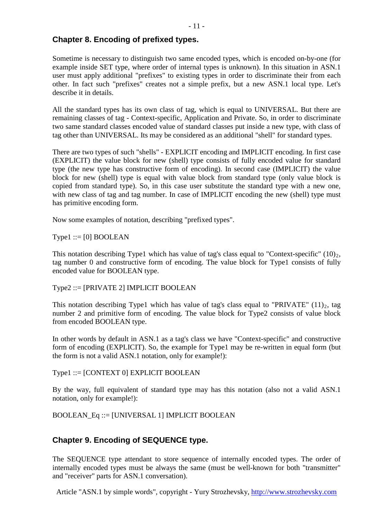#### **Chapter 8. Encoding of prefixed types.**

Sometime is necessary to distinguish two same encoded types, which is encoded on-by-one (for example inside SET type, where order of internal types is unknown). In this situation in ASN.1 user must apply additional "prefixes" to existing types in order to discriminate their from each other. In fact such "prefixes" creates not a simple prefix, but a new ASN.1 local type. Let's describe it in details.

All the standard types has its own class of tag, which is equal to UNIVERSAL. But there are remaining classes of tag - Context-specific, Application and Private. So, in order to discriminate two same standard classes encoded value of standard classes put inside a new type, with class of tag other than UNIVERSAL. Its may be considered as an additional "shell" for standard types.

There are two types of such "shells" - EXPLICIT encoding and IMPLICIT encoding. In first case (EXPLICIT) the value block for new (shell) type consists of fully encoded value for standard type (the new type has constructive form of encoding). In second case (IMPLICIT) the value block for new (shell) type is equal with value block from standard type (only value block is copied from standard type). So, in this case user substitute the standard type with a new one, with new class of tag and tag number. In case of IMPLICIT encoding the new (shell) type must has primitive encoding form.

Now some examples of notation, describing "prefixed types".

 $Type1 ::= [0] BOOLEAN$ 

This notation describing Type1 which has value of tag's class equal to "Context-specific"  $(10)_2$ , tag number 0 and constructive form of encoding. The value block for Type1 consists of fully encoded value for BOOLEAN type.

Type2 ::= [PRIVATE 2] IMPLICIT BOOLEAN

This notation describing Type1 which has value of tag's class equal to "PRIVATE"  $(11)_2$ , tag number 2 and primitive form of encoding. The value block for Type2 consists of value block from encoded BOOLEAN type.

In other words by default in ASN.1 as a tag's class we have "Context-specific" and constructive form of encoding (EXPLICIT). So, the example for Type1 may be re-written in equal form (but the form is not a valid ASN.1 notation, only for example!):

Type1 ::= [CONTEXT 0] EXPLICIT BOOLEAN

By the way, full equivalent of standard type may has this notation (also not a valid ASN.1 notation, only for example!):

BOOLEAN\_Eq ::= [UNIVERSAL 1] IMPLICIT BOOLEAN

# **Chapter 9. Encoding of SEQUENCE type.**

The SEQUENCE type attendant to store sequence of internally encoded types. The order of internally encoded types must be always the same (must be well-known for both "transmitter" and "receiver" parts for ASN.1 conversation).